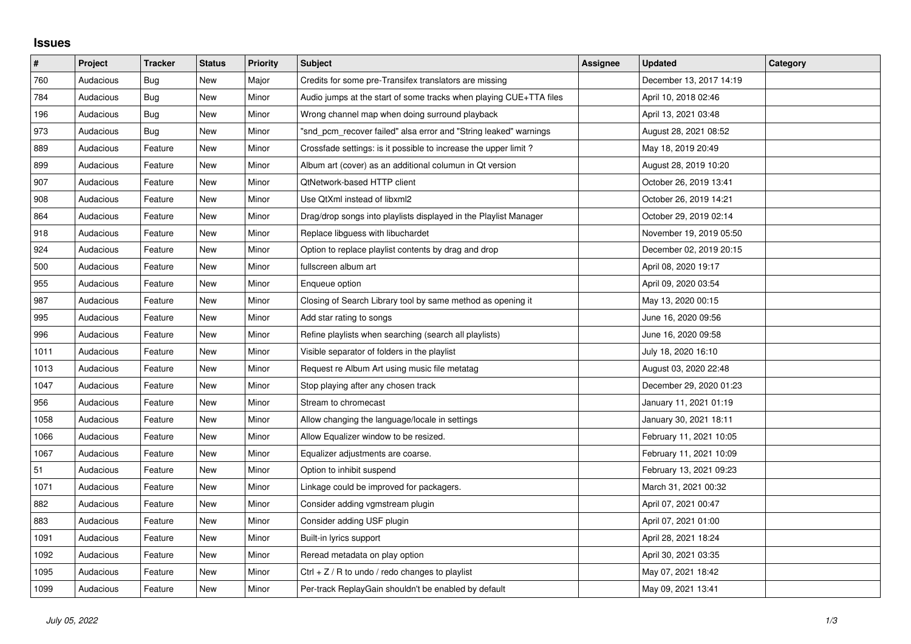## **Issues**

| $\pmb{\#}$ | Project   | <b>Tracker</b> | <b>Status</b> | <b>Priority</b> | <b>Subject</b>                                                     | <b>Assignee</b> | <b>Updated</b>          | Category |
|------------|-----------|----------------|---------------|-----------------|--------------------------------------------------------------------|-----------------|-------------------------|----------|
| 760        | Audacious | Bug            | New           | Major           | Credits for some pre-Transifex translators are missing             |                 | December 13, 2017 14:19 |          |
| 784        | Audacious | Bug            | <b>New</b>    | Minor           | Audio jumps at the start of some tracks when playing CUE+TTA files |                 | April 10, 2018 02:46    |          |
| 196        | Audacious | <b>Bug</b>     | New           | Minor           | Wrong channel map when doing surround playback                     |                 | April 13, 2021 03:48    |          |
| 973        | Audacious | Bug            | New           | Minor           | "snd_pcm_recover failed" alsa error and "String leaked" warnings   |                 | August 28, 2021 08:52   |          |
| 889        | Audacious | Feature        | New           | Minor           | Crossfade settings: is it possible to increase the upper limit?    |                 | May 18, 2019 20:49      |          |
| 899        | Audacious | Feature        | New           | Minor           | Album art (cover) as an additional columun in Qt version           |                 | August 28, 2019 10:20   |          |
| 907        | Audacious | Feature        | New           | Minor           | QtNetwork-based HTTP client                                        |                 | October 26, 2019 13:41  |          |
| 908        | Audacious | Feature        | New           | Minor           | Use QtXml instead of libxml2                                       |                 | October 26, 2019 14:21  |          |
| 864        | Audacious | Feature        | New           | Minor           | Drag/drop songs into playlists displayed in the Playlist Manager   |                 | October 29, 2019 02:14  |          |
| 918        | Audacious | Feature        | New           | Minor           | Replace libguess with libuchardet                                  |                 | November 19, 2019 05:50 |          |
| 924        | Audacious | Feature        | New           | Minor           | Option to replace playlist contents by drag and drop               |                 | December 02, 2019 20:15 |          |
| 500        | Audacious | Feature        | New           | Minor           | fullscreen album art                                               |                 | April 08, 2020 19:17    |          |
| 955        | Audacious | Feature        | New           | Minor           | Enqueue option                                                     |                 | April 09, 2020 03:54    |          |
| 987        | Audacious | Feature        | New           | Minor           | Closing of Search Library tool by same method as opening it        |                 | May 13, 2020 00:15      |          |
| 995        | Audacious | Feature        | <b>New</b>    | Minor           | Add star rating to songs                                           |                 | June 16, 2020 09:56     |          |
| 996        | Audacious | Feature        | New           | Minor           | Refine playlists when searching (search all playlists)             |                 | June 16, 2020 09:58     |          |
| 1011       | Audacious | Feature        | New           | Minor           | Visible separator of folders in the playlist                       |                 | July 18, 2020 16:10     |          |
| 1013       | Audacious | Feature        | New           | Minor           | Request re Album Art using music file metatag                      |                 | August 03, 2020 22:48   |          |
| 1047       | Audacious | Feature        | New           | Minor           | Stop playing after any chosen track                                |                 | December 29, 2020 01:23 |          |
| 956        | Audacious | Feature        | New           | Minor           | Stream to chromecast                                               |                 | January 11, 2021 01:19  |          |
| 1058       | Audacious | Feature        | New           | Minor           | Allow changing the language/locale in settings                     |                 | January 30, 2021 18:11  |          |
| 1066       | Audacious | Feature        | New           | Minor           | Allow Equalizer window to be resized.                              |                 | February 11, 2021 10:05 |          |
| 1067       | Audacious | Feature        | New           | Minor           | Equalizer adjustments are coarse.                                  |                 | February 11, 2021 10:09 |          |
| 51         | Audacious | Feature        | New           | Minor           | Option to inhibit suspend                                          |                 | February 13, 2021 09:23 |          |
| 1071       | Audacious | Feature        | New           | Minor           | Linkage could be improved for packagers.                           |                 | March 31, 2021 00:32    |          |
| 882        | Audacious | Feature        | New           | Minor           | Consider adding vgmstream plugin                                   |                 | April 07, 2021 00:47    |          |
| 883        | Audacious | Feature        | New           | Minor           | Consider adding USF plugin                                         |                 | April 07, 2021 01:00    |          |
| 1091       | Audacious | Feature        | New           | Minor           | Built-in lyrics support                                            |                 | April 28, 2021 18:24    |          |
| 1092       | Audacious | Feature        | New           | Minor           | Reread metadata on play option                                     |                 | April 30, 2021 03:35    |          |
| 1095       | Audacious | Feature        | New           | Minor           | Ctrl $+$ Z / R to undo / redo changes to playlist                  |                 | May 07, 2021 18:42      |          |
| 1099       | Audacious | Feature        | New           | Minor           | Per-track ReplayGain shouldn't be enabled by default               |                 | May 09, 2021 13:41      |          |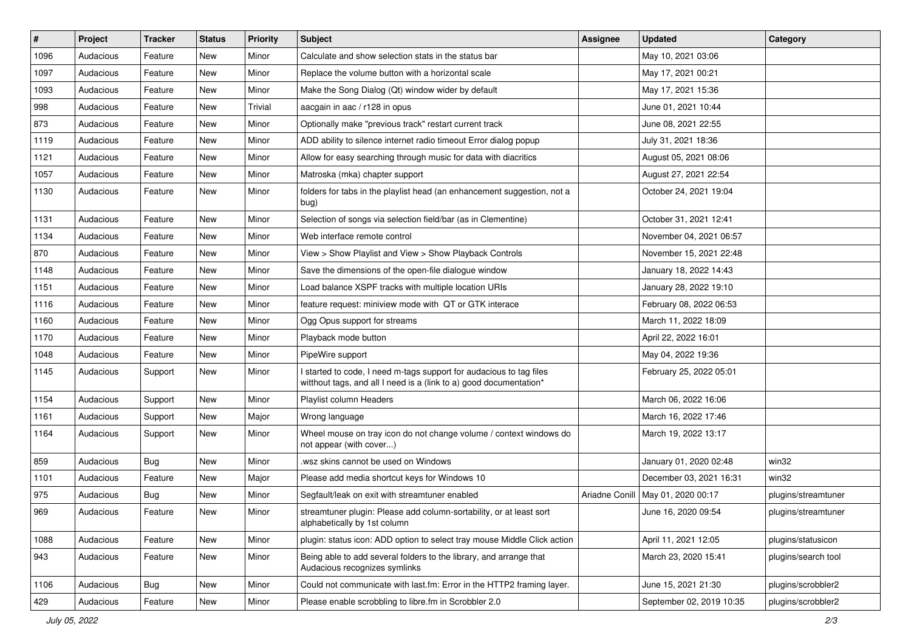| $\sharp$ | Project   | <b>Tracker</b> | <b>Status</b> | <b>Priority</b> | <b>Subject</b>                                                                                                                            | <b>Assignee</b> | <b>Updated</b>           | Category            |
|----------|-----------|----------------|---------------|-----------------|-------------------------------------------------------------------------------------------------------------------------------------------|-----------------|--------------------------|---------------------|
| 1096     | Audacious | Feature        | New           | Minor           | Calculate and show selection stats in the status bar                                                                                      |                 | May 10, 2021 03:06       |                     |
| 1097     | Audacious | Feature        | New           | Minor           | Replace the volume button with a horizontal scale                                                                                         |                 | May 17, 2021 00:21       |                     |
| 1093     | Audacious | Feature        | New           | Minor           | Make the Song Dialog (Qt) window wider by default                                                                                         |                 | May 17, 2021 15:36       |                     |
| 998      | Audacious | Feature        | New           | <b>Trivial</b>  | aacgain in aac / r128 in opus                                                                                                             |                 | June 01, 2021 10:44      |                     |
| 873      | Audacious | Feature        | New           | Minor           | Optionally make "previous track" restart current track                                                                                    |                 | June 08, 2021 22:55      |                     |
| 1119     | Audacious | Feature        | New           | Minor           | ADD ability to silence internet radio timeout Error dialog popup                                                                          |                 | July 31, 2021 18:36      |                     |
| 1121     | Audacious | Feature        | New           | Minor           | Allow for easy searching through music for data with diacritics                                                                           |                 | August 05, 2021 08:06    |                     |
| 1057     | Audacious | Feature        | New           | Minor           | Matroska (mka) chapter support                                                                                                            |                 | August 27, 2021 22:54    |                     |
| 1130     | Audacious | Feature        | New           | Minor           | folders for tabs in the playlist head (an enhancement suggestion, not a<br>bug)                                                           |                 | October 24, 2021 19:04   |                     |
| 1131     | Audacious | Feature        | New           | Minor           | Selection of songs via selection field/bar (as in Clementine)                                                                             |                 | October 31, 2021 12:41   |                     |
| 1134     | Audacious | Feature        | New           | Minor           | Web interface remote control                                                                                                              |                 | November 04, 2021 06:57  |                     |
| 870      | Audacious | Feature        | New           | Minor           | View > Show Playlist and View > Show Playback Controls                                                                                    |                 | November 15, 2021 22:48  |                     |
| 1148     | Audacious | Feature        | New           | Minor           | Save the dimensions of the open-file dialogue window                                                                                      |                 | January 18, 2022 14:43   |                     |
| 1151     | Audacious | Feature        | New           | Minor           | Load balance XSPF tracks with multiple location URIs                                                                                      |                 | January 28, 2022 19:10   |                     |
| 1116     | Audacious | Feature        | New           | Minor           | feature request: miniview mode with QT or GTK interace                                                                                    |                 | February 08, 2022 06:53  |                     |
| 1160     | Audacious | Feature        | New           | Minor           | Ogg Opus support for streams                                                                                                              |                 | March 11, 2022 18:09     |                     |
| 1170     | Audacious | Feature        | New           | Minor           | Playback mode button                                                                                                                      |                 | April 22, 2022 16:01     |                     |
| 1048     | Audacious | Feature        | New           | Minor           | PipeWire support                                                                                                                          |                 | May 04, 2022 19:36       |                     |
| 1145     | Audacious | Support        | New           | Minor           | I started to code, I need m-tags support for audacious to tag files<br>witthout tags, and all I need is a (link to a) good documentation* |                 | February 25, 2022 05:01  |                     |
| 1154     | Audacious | Support        | New           | Minor           | Playlist column Headers                                                                                                                   |                 | March 06, 2022 16:06     |                     |
| 1161     | Audacious | Support        | New           | Major           | Wrong language                                                                                                                            |                 | March 16, 2022 17:46     |                     |
| 1164     | Audacious | Support        | New           | Minor           | Wheel mouse on tray icon do not change volume / context windows do<br>not appear (with cover)                                             |                 | March 19, 2022 13:17     |                     |
| 859      | Audacious | Bug            | <b>New</b>    | Minor           | .wsz skins cannot be used on Windows                                                                                                      |                 | January 01, 2020 02:48   | win32               |
| 1101     | Audacious | Feature        | New           | Major           | Please add media shortcut keys for Windows 10                                                                                             |                 | December 03, 2021 16:31  | win32               |
| 975      | Audacious | <b>Bug</b>     | New           | Minor           | Segfault/leak on exit with streamtuner enabled                                                                                            | Ariadne Conill  | May 01, 2020 00:17       | plugins/streamtuner |
| 969      | Audacious | Feature        | New           | Minor           | streamtuner plugin: Please add column-sortability, or at least sort<br>alphabetically by 1st column                                       |                 | June 16, 2020 09:54      | plugins/streamtuner |
| 1088     | Audacious | Feature        | New           | Minor           | plugin: status icon: ADD option to select tray mouse Middle Click action                                                                  |                 | April 11, 2021 12:05     | plugins/statusicon  |
| 943      | Audacious | Feature        | New           | Minor           | Being able to add several folders to the library, and arrange that<br>Audacious recognizes symlinks                                       |                 | March 23, 2020 15:41     | plugins/search tool |
| 1106     | Audacious | Bug            | New           | Minor           | Could not communicate with last.fm: Error in the HTTP2 framing layer.                                                                     |                 | June 15, 2021 21:30      | plugins/scrobbler2  |
| 429      | Audacious | Feature        | New           | Minor           | Please enable scrobbling to libre.fm in Scrobbler 2.0                                                                                     |                 | September 02, 2019 10:35 | plugins/scrobbler2  |